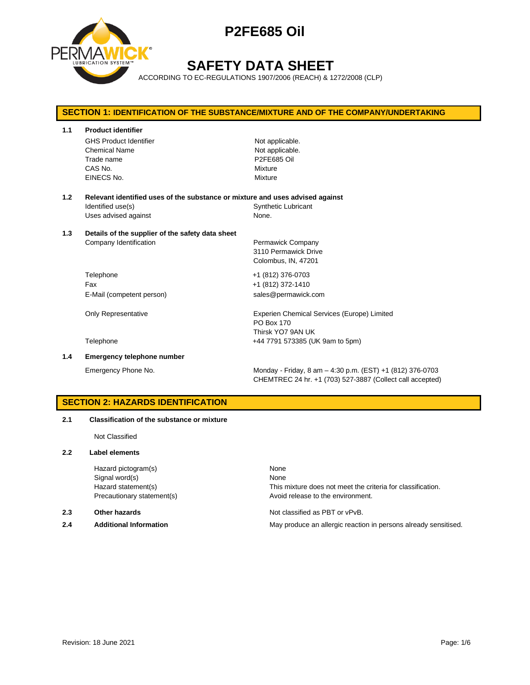

# **SAFETY DATA SHEET**

ACCORDING TO EC-REGULATIONS 1907/2006 (REACH) & 1272/2008 (CLP)

# **SECTION 1: IDENTIFICATION OF THE SUBSTANCE/MIXTURE AND OF THE COMPANY/UNDERTAKING 1.1 Product identifier** GHS Product Identifier Not applicable. Chemical Name Not applicable. Trade name **P2FE685 Oil** CAS No. Mixture EINECS No. Mixture **1.2 Relevant identified uses of the substance or mixture and uses advised against** Identified use(s) The Synthetic Lubricant Uses advised against None. **1.3 Details of the supplier of the safety data sheet** Company Identification **Permawick Company** 3110 Permawick Drive Colombus, IN, 47201 Telephone +1 (812) 376-0703 Fax +1 (812) 372-1410 E-Mail (competent person) sales@permawick.com Only Representative **Experien Chemical Services (Europe)** Limited PO Box 170 Thirsk YO7 9AN UK Telephone +44 7791 573385 (UK 9am to 5pm) **1.4 Emergency telephone number** Emergency Phone No. Monday - Friday, 8 am – 4:30 p.m. (EST) +1 (812) 376-0703 CHEMTREC 24 hr. +1 (703) 527-3887 (Collect call accepted)

# **SECTION 2: HAZARDS IDENTIFICATION**

### **2.1 Classification of the substance or mixture**

Not Classified

### **2.2 Label elements**

Hazard pictogram(s) None Signal word(s) None

**2.4 Additional Information** May produce an allergic reaction in persons already sensitised.

Hazard statement(s) This mixture does not meet the criteria for classification. Precautionary statement(s) example a provid release to the environment.

**2.3 Other hazards Detection According to the Contract Order Not classified as PBT or vPvB.**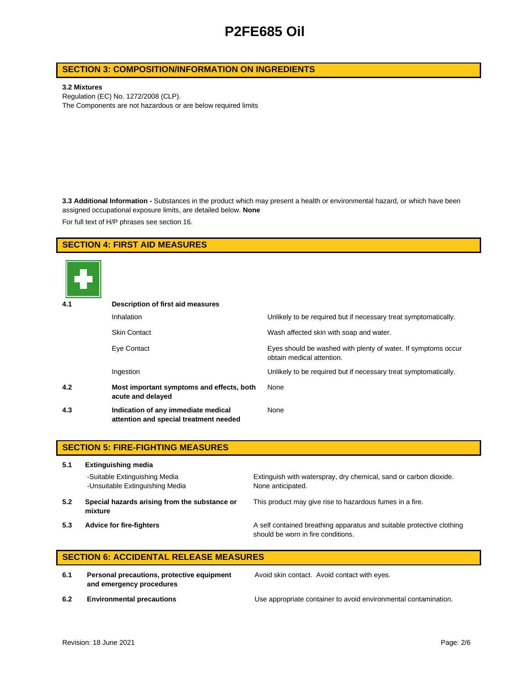# **SECTION 3: COMPOSITION/INFORMATION ON INGREDIENTS**

#### **3.2 Mixtures**

Regulation (EC) No. 1272/2008 (CLP). The Components are not hazardous or are below required limits

**3.3 Additional Information -** Substances in the product which may present a health or environmental hazard, or which have been assigned occupational exposure limits, are detailed below. **None**

For full text of H/P phrases see section 16.

# **SECTION 4: FIRST AID MEASURES**



| 4.1 | Description of first aid measures                                             |                                                                                            |  |  |
|-----|-------------------------------------------------------------------------------|--------------------------------------------------------------------------------------------|--|--|
|     | Inhalation                                                                    | Unlikely to be required but if necessary treat symptomatically.                            |  |  |
|     | <b>Skin Contact</b>                                                           | Wash affected skin with soap and water.                                                    |  |  |
|     | Eye Contact                                                                   | Eyes should be washed with plenty of water. If symptoms occur<br>obtain medical attention. |  |  |
|     | Ingestion                                                                     | Unlikely to be required but if necessary treat symptomatically.                            |  |  |
| 4.2 | Most important symptoms and effects, both<br>acute and delayed                | None                                                                                       |  |  |
| 4.3 | Indication of any immediate medical<br>attention and special treatment needed | None                                                                                       |  |  |

|     | <b>SECTION 5: FIRE-FIGHTING MEASURES</b>                         |                                                                                                             |  |  |  |
|-----|------------------------------------------------------------------|-------------------------------------------------------------------------------------------------------------|--|--|--|
| 5.1 | <b>Extinguishing media</b>                                       |                                                                                                             |  |  |  |
|     | -Suitable Extinguishing Media<br>-Unsuitable Extinguishing Media | Extinguish with waterspray, dry chemical, sand or carbon dioxide.<br>None anticipated.                      |  |  |  |
| 5.2 | Special hazards arising from the substance or<br>mixture         | This product may give rise to hazardous fumes in a fire.                                                    |  |  |  |
| 5.3 | <b>Advice for fire-fighters</b>                                  | A self contained breathing apparatus and suitable protective clothing<br>should be worn in fire conditions. |  |  |  |

# **SECTION 6: ACCIDENTAL RELEASE MEASURES**

**6.1 Personal precautions, protective equipment and emergency procedures**

Avoid skin contact. Avoid contact with eyes.

**6.2 Environmental precautions** Use appropriate container to avoid environmental contamination.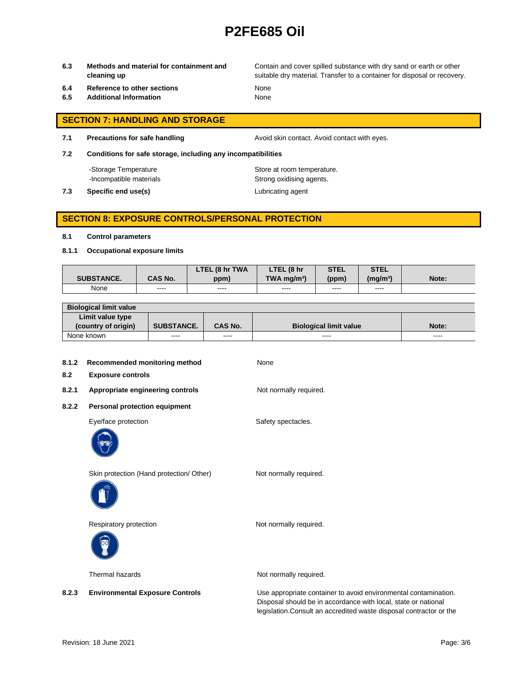**6.3 Methods and material for containment and cleaning up**

Contain and cover spilled substance with dry sand or earth or other suitable dry material. Transfer to a container for disposal or recovery.

- **6.4 Reference to other sections** None
- **6.5 Additional Information** None

## **SECTION 7: HANDLING AND STORAGE**

**7.1 Precautions for safe handling Avoid skin contact. Avoid contact with eyes.** 

**7.2 Conditions for safe storage, including any incompatibilities**

-Storage Temperature **Store at room temperature.** 

-Incompatible materials **Strong oxidising agents**.

**7.3 Specific end use(s)** Lubricating agent

### **SECTION 8: EXPOSURE CONTROLS/PERSONAL PROTECTION**

#### **8.1 Control parameters**

**8.1.1 Occupational exposure limits**

|                   |                | LTEL (8 hr TWA | LTEL (8 hr                | <b>STEL</b> | <b>STEL</b>     |       |
|-------------------|----------------|----------------|---------------------------|-------------|-----------------|-------|
| <b>SUBSTANCE.</b> | <b>CAS No.</b> | ppm)           | $TWA$ ma/m <sup>3</sup> ) | (ppm)       | $(m\alpha/m^3)$ | Note: |
| None              | ----           | ----           | ----                      | ----        | ----            |       |

| <b>Biological limit value</b> |                   |                |                               |               |
|-------------------------------|-------------------|----------------|-------------------------------|---------------|
| Limit value type              |                   |                |                               |               |
| (country of origin)           | <b>SUBSTANCE.</b> | <b>CAS No.</b> | <b>Biological limit value</b> | Note:         |
| None known                    | ----              | ----           | ----                          | $\frac{1}{2}$ |

| 8.1.2<br>8.2 | Recommended monitoring method<br><b>Exposure controls</b> | None                                                                                                                              |
|--------------|-----------------------------------------------------------|-----------------------------------------------------------------------------------------------------------------------------------|
| 8.2.1        | Appropriate engineering controls                          | Not normally required.                                                                                                            |
| 8.2.2        | Personal protection equipment                             |                                                                                                                                   |
|              | Eye/face protection                                       | Safety spectacles.                                                                                                                |
|              | Skin protection (Hand protection/ Other)                  | Not normally required.                                                                                                            |
|              | Respiratory protection                                    | Not normally required.                                                                                                            |
|              | Thermal hazards                                           | Not normally required.                                                                                                            |
| 8.2.3        | <b>Environmental Exposure Controls</b>                    | Use appropriate container to avoid environmental contamination.<br>Disposal should be in accordance with local, state or national |

legislation.Consult an accredited waste disposal contractor or the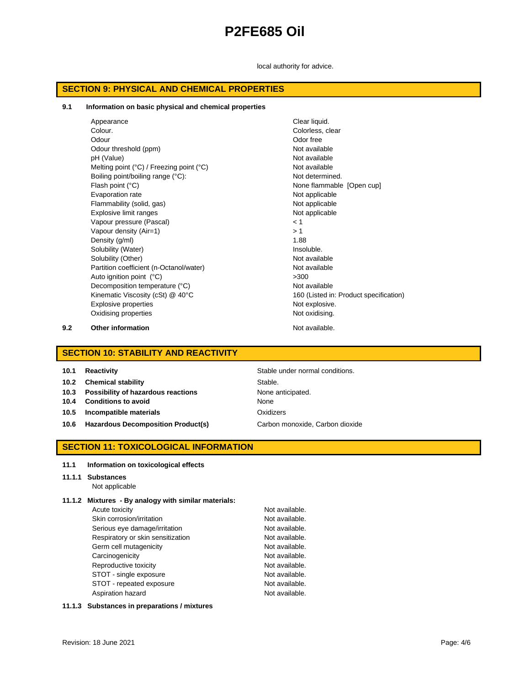local authority for advice.

### **SECTION 9: PHYSICAL AND CHEMICAL PROPERTIES**

#### **9.1 Information on basic physical and chemical properties**

| Appearance                                                 | Clear liquid.                          |
|------------------------------------------------------------|----------------------------------------|
| Colour.                                                    | Colorless, clear                       |
| Odour                                                      | Odor free                              |
| Odour threshold (ppm)                                      | Not available                          |
| pH (Value)                                                 | Not available                          |
| Melting point $(^{\circ}C)$ / Freezing point $(^{\circ}C)$ | Not available                          |
| Boiling point/boiling range (°C):                          | Not determined.                        |
| Flash point (°C)                                           | None flammable [Open cup]              |
| Evaporation rate                                           | Not applicable                         |
| Flammability (solid, gas)                                  | Not applicable                         |
| Explosive limit ranges                                     | Not applicable                         |
| Vapour pressure (Pascal)                                   | 1 >                                    |
| Vapour density (Air=1)                                     | > 1                                    |
| Density (g/ml)                                             | 1.88                                   |
| Solubility (Water)                                         | Insoluble.                             |
| Solubility (Other)                                         | Not available                          |
| Partition coefficient (n-Octanol/water)                    | Not available                          |
| Auto ignition point (°C)                                   | >300                                   |
| Decomposition temperature (°C)                             | Not available                          |
| Kinematic Viscosity (cSt) @ 40°C                           | 160 (Listed in: Product specification) |
| Explosive properties                                       | Not explosive.                         |
| Oxidising properties                                       | Not oxidising.                         |
|                                                            |                                        |

**9.2 Other information Not available.** 

# **SECTION 10: STABILITY AND REACTIVITY**

| 10.1 | <b>Reactivity</b> |
|------|-------------------|
|------|-------------------|

**10.2 Chemical stability** Stable.

- **10.3 Possibility of hazardous reactions** None anticipated.
- **10.4 Conditions to avoid** None
- **10.5 Incompatible materials** Oxidizers
- **10.6 Hazardous Decomposition Product(s)** Carbon monoxide, Carbon dioxide

**Stable under normal conditions.** 

## **SECTION 11: TOXICOLOGICAL INFORMATION**

#### **11.1 Information on toxicological effects**

#### **11.1.1 Substances** Not applicable

#### **11.1.2 Mixtures - By analogy with similar materials:**

Acute toxicity **Not available**. Skin corrosion/irritation Not available. Serious eye damage/irritation <br>
Respiratory or skin sensitization Not available.<br>
Not available. Respiratory or skin sensitization Germ cell mutagenicity **Not available**. Carcinogenicity **Not available**. Reproductive toxicity Not available. STOT - single exposure Not available. STOT - repeated exposure Not available. Aspiration hazard Not available.

#### **11.1.3 Substances in preparations / mixtures**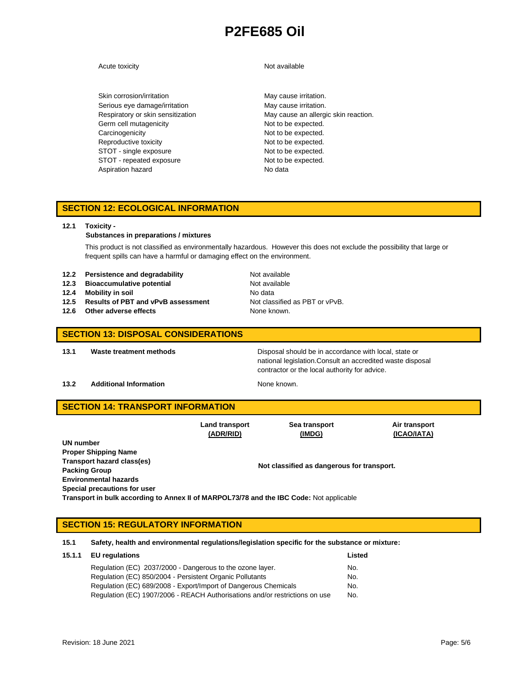#### Acute toxicity **Not available**

# Skin corrosion/irritation metal manufacture of May cause irritation. Serious eye damage/irritation May cause irritation. Germ cell mutagenicity expected. Carcinogenicity **Not to be expected.** Reproductive toxicity Not to be expected. STOT - single exposure Not to be expected. STOT - repeated exposure Not to be expected. Aspiration hazard No data

Respiratory or skin sensitization May cause an allergic skin reaction.

# **SECTION 12: ECOLOGICAL INFORMATION**

#### **12.1 Toxicity -**

#### **Substances in preparations / mixtures**

This product is not classified as environmentally hazardous. However this does not exclude the possibility that large or frequent spills can have a harmful or damaging effect on the environment.

| 12.2 | Persistence and degradability |  |  |  |
|------|-------------------------------|--|--|--|
|------|-------------------------------|--|--|--|

- **12.3 Bioaccumulative potential** Not available
- **12.4 Mobility in soil** No data
- **12.5 Results of PBT and vPvB assessment** Not classified as PBT or vPvB.
- **12.6** Other adverse effects None known.

**12.2 Persistence and Degradability** Not available

### **SECTION 13: DISPOSAL CONSIDERATIONS**

**13.1 Waste treatment methods** Disposal should be in accordance with local, state or national legislation.Consult an accredited waste disposal contractor or the local authority for advice.

#### **13.2 Additional Information None known.**

# **SECTION 14: TRANSPORT INFORMATION**

|                                                                                         | Land transport                             | Sea transport | Air transport |  |  |
|-----------------------------------------------------------------------------------------|--------------------------------------------|---------------|---------------|--|--|
|                                                                                         | (ADR/RID)                                  | (IMDG)        | (ICAO/IATA)   |  |  |
| UN number                                                                               |                                            |               |               |  |  |
| <b>Proper Shipping Name</b>                                                             |                                            |               |               |  |  |
| Transport hazard class(es)                                                              | Not classified as dangerous for transport. |               |               |  |  |
| <b>Packing Group</b>                                                                    |                                            |               |               |  |  |
| <b>Environmental hazards</b>                                                            |                                            |               |               |  |  |
| Special precautions for user                                                            |                                            |               |               |  |  |
| Transport in bulk according to Annex II of MARPOL73/78 and the IBC Code: Not applicable |                                            |               |               |  |  |

# **SECTION 15: REGULATORY INFORMATION**

**15.1 Safety, health and environmental regulations/legislation specific for the substance or mixture:**

| 15.1.1 EU regulations                                                       | Listed |
|-----------------------------------------------------------------------------|--------|
| Regulation (EC) 2037/2000 - Dangerous to the ozone layer.                   | No.    |
| Regulation (EC) 850/2004 - Persistent Organic Pollutants                    | No.    |
| Regulation (EC) 689/2008 - Export/Import of Dangerous Chemicals             | No.    |
| Regulation (EC) 1907/2006 - REACH Authorisations and/or restrictions on use | No.    |